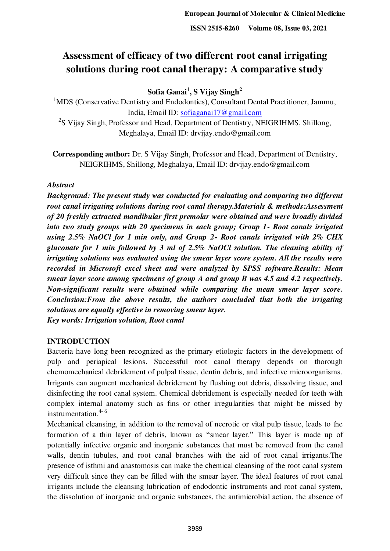# **Assessment of efficacy of two different root canal irrigating solutions during root canal therapy: A comparative study**

**Sofia Ganai<sup>1</sup> , S Vijay Singh<sup>2</sup>**

<sup>1</sup>MDS (Conservative Dentistry and Endodontics), Consultant Dental Practitioner, Jammu, India, Email ID: [sofiaganai17@gmail.com](mailto:sofiaganai17@gmail.com)

<sup>2</sup>S Vijay Singh, Professor and Head, Department of Dentistry, NEIGRIHMS, Shillong, Meghalaya, Email ID: drvijay.endo@gmail.com

**Corresponding author:** Dr. S Vijay Singh, Professor and Head, Department of Dentistry, NEIGRIHMS, Shillong, Meghalaya, Email ID: drvijay.endo@gmail.com

## *Abstract*

*Background: The present study was conducted for evaluating and comparing two different root canal irrigating solutions during root canal therapy.Materials & methods:Assessment of 20 freshly extracted mandibular first premolar were obtained and were broadly divided into two study groups with 20 specimens in each group; Group 1- Root canals irrigated using 2.5% NaOCl for 1 min only, and Group 2- Root canals irrigated with 2% CHX gluconate for 1 min followed by 3 ml of 2.5% NaOCl solution. The cleaning ability of irrigating solutions was evaluated using the smear layer score system. All the results were recorded in Microsoft excel sheet and were analyzed by SPSS software.Results: Mean smear layer score among specimens of group A and group B was 4.5 and 4.2 respectively. Non-significant results were obtained while comparing the mean smear layer score. Conclusion:From the above results, the authors concluded that both the irrigating solutions are equally effective in removing smear layer. Key words: Irrigation solution, Root canal* 

## **INTRODUCTION**

Bacteria have long been recognized as the primary etiologic factors in the development of pulp and periapical lesions. Successful root canal therapy depends on thorough chemomechanical debridement of pulpal tissue, dentin debris, and infective microorganisms. Irrigants can augment mechanical debridement by flushing out debris, dissolving tissue, and disinfecting the root canal system. Chemical debridement is especially needed for teeth with complex internal anatomy such as fins or other irregularities that might be missed by instrumentation. $4-6$ 

Mechanical cleansing, in addition to the removal of necrotic or vital pulp tissue, leads to the formation of a thin layer of debris, known as "smear layer." This layer is made up of potentially infective organic and inorganic substances that must be removed from the canal walls, dentin tubules, and root canal branches with the aid of root canal irrigants.The presence of isthmi and anastomosis can make the chemical cleansing of the root canal system very difficult since they can be filled with the smear layer. The ideal features of root canal irrigants include the cleansing lubrication of endodontic instruments and root canal system, the dissolution of inorganic and organic substances, the antimicrobial action, the absence of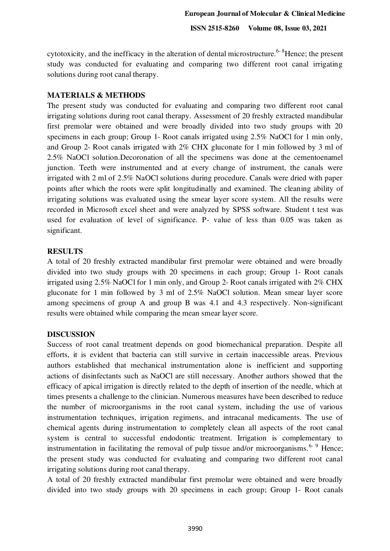**ISSN 2515-8260 Volume 08, Issue 03, 2021**

cytotoxicity, and the inefficacy in the alteration of dental microstructure.<sup> $6-8$ </sup>Hence; the present study was conducted for evaluating and comparing two different root canal irrigating solutions during root canal therapy.

### **MATERIALS & METHODS**

The present study was conducted for evaluating and comparing two different root canal irrigating solutions during root canal therapy. Assessment of 20 freshly extracted mandibular first premolar were obtained and were broadly divided into two study groups with 20 specimens in each group; Group 1- Root canals irrigated using 2.5% NaOCl for 1 min only, and Group 2- Root canals irrigated with 2% CHX gluconate for 1 min followed by 3 ml of 2.5% NaOCl solution.Decoronation of all the specimens was done at the cementoenamel junction. Teeth were instrumented and at every change of instrument, the canals were irrigated with 2 ml of 2.5% NaOCl solutions during procedure. Canals were dried with paper points after which the roots were split longitudinally and examined. The cleaning ability of irrigating solutions was evaluated using the smear layer score system. All the results were recorded in Microsoft excel sheet and were analyzed by SPSS software. Student t test was used for evaluation of level of significance. P- value of less than 0.05 was taken as significant.

#### **RESULTS**

A total of 20 freshly extracted mandibular first premolar were obtained and were broadly divided into two study groups with 20 specimens in each group; Group 1- Root canals irrigated using 2.5% NaOCl for 1 min only, and Group 2- Root canals irrigated with 2% CHX gluconate for 1 min followed by 3 ml of 2.5% NaOCl solution. Mean smear layer score among specimens of group A and group B was 4.1 and 4.3 respectively. Non-significant results were obtained while comparing the mean smear layer score.

## **DISCUSSION**

Success of root canal treatment depends on good biomechanical preparation. Despite all efforts, it is evident that bacteria can still survive in certain inaccessible areas. Previous authors established that mechanical instrumentation alone is inefficient and supporting actions of disinfectants such as NaOCl are still necessary. Another authors showed that the efficacy of apical irrigation is directly related to the depth of insertion of the needle, which at times presents a challenge to the clinician. Numerous measures have been described to reduce the number of microorganisms in the root canal system, including the use of various instrumentation techniques, irrigation regimens, and intracanal medicaments. The use of chemical agents during instrumentation to completely clean all aspects of the root canal system is central to successful endodontic treatment. Irrigation is complementary to instrumentation in facilitating the removal of pulp tissue and/or microorganisms.<sup>6- 9</sup> Hence; the present study was conducted for evaluating and comparing two different root canal irrigating solutions during root canal therapy.

A total of 20 freshly extracted mandibular first premolar were obtained and were broadly divided into two study groups with 20 specimens in each group; Group 1- Root canals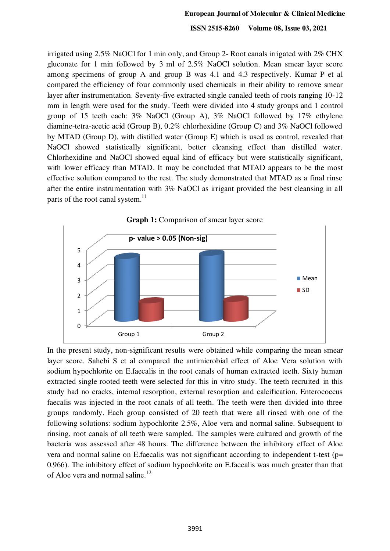**ISSN 2515-8260 Volume 08, Issue 03, 2021**

irrigated using 2.5% NaOCl for 1 min only, and Group 2- Root canals irrigated with 2% CHX gluconate for 1 min followed by 3 ml of 2.5% NaOCl solution. Mean smear layer score among specimens of group A and group B was 4.1 and 4.3 respectively. Kumar P et al compared the efficiency of four commonly used chemicals in their ability to remove smear layer after instrumentation. Seventy-five extracted single canaled teeth of roots ranging 10-12 mm in length were used for the study. Teeth were divided into 4 study groups and 1 control group of 15 teeth each: 3% NaOCl (Group A), 3% NaOCl followed by 17% ethylene diamine-tetra-acetic acid (Group B), 0.2% chlorhexidine (Group C) and 3% NaOCl followed by MTAD (Group D), with distilled water (Group E) which is used as control, revealed that NaOCl showed statistically significant, better cleansing effect than distilled water. Chlorhexidine and NaOCl showed equal kind of efficacy but were statistically significant, with lower efficacy than MTAD. It may be concluded that MTAD appears to be the most effective solution compared to the rest. The study demonstrated that MTAD as a final rinse after the entire instrumentation with 3% NaOCl as irrigant provided the best cleansing in all parts of the root canal system. $11$ 



In the present study, non-significant results were obtained while comparing the mean smear layer score. Sahebi S et al compared the antimicrobial effect of Aloe Vera solution with sodium hypochlorite on E.faecalis in the root canals of human extracted teeth. Sixty human extracted single rooted teeth were selected for this in vitro study. The teeth recruited in this study had no cracks, internal resorption, external resorption and calcification. Enterococcus faecalis was injected in the root canals of all teeth. The teeth were then divided into three groups randomly. Each group consisted of 20 teeth that were all rinsed with one of the following solutions: sodium hypochlorite 2.5%, Aloe vera and normal saline. Subsequent to rinsing, root canals of all teeth were sampled. The samples were cultured and growth of the bacteria was assessed after 48 hours. The difference between the inhibitory effect of Aloe vera and normal saline on E.faecalis was not significant according to independent t-test (p= 0.966). The inhibitory effect of sodium hypochlorite on E.faecalis was much greater than that of Aloe vera and normal saline.<sup>12</sup>